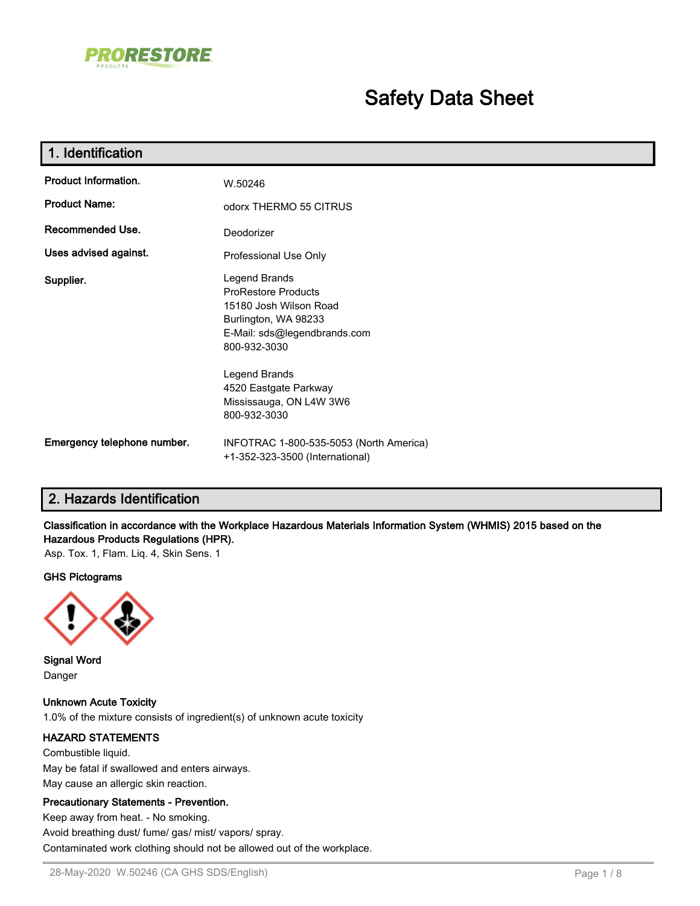

# **Safety Data Sheet**

| 1. Identification           |                                                                                                                                               |
|-----------------------------|-----------------------------------------------------------------------------------------------------------------------------------------------|
| <b>Product Information.</b> | W.50246                                                                                                                                       |
| <b>Product Name:</b>        | odorx THERMO 55 CITRUS                                                                                                                        |
| <b>Recommended Use.</b>     | Deodorizer                                                                                                                                    |
| Uses advised against.       | Professional Use Only                                                                                                                         |
| Supplier.                   | Legend Brands<br><b>ProRestore Products</b><br>15180 Josh Wilson Road<br>Burlington, WA 98233<br>E-Mail: sds@legendbrands.com<br>800-932-3030 |
|                             | Legend Brands<br>4520 Eastgate Parkway<br>Mississauga, ON L4W 3W6<br>800-932-3030                                                             |
| Emergency telephone number. | INFOTRAC 1-800-535-5053 (North America)<br>+1-352-323-3500 (International)                                                                    |

# **2. Hazards Identification**

**Classification in accordance with the Workplace Hazardous Materials Information System (WHMIS) 2015 based on the Hazardous Products Regulations (HPR).**

Asp. Tox. 1, Flam. Liq. 4, Skin Sens. 1

#### **GHS Pictograms**



**Signal Word** Danger

**Unknown Acute Toxicity** 1.0% of the mixture consists of ingredient(s) of unknown acute toxicity

#### **HAZARD STATEMENTS**

Combustible liquid. May be fatal if swallowed and enters airways. May cause an allergic skin reaction.

#### **Precautionary Statements - Prevention.**

Keep away from heat. - No smoking. Avoid breathing dust/ fume/ gas/ mist/ vapors/ spray. Contaminated work clothing should not be allowed out of the workplace.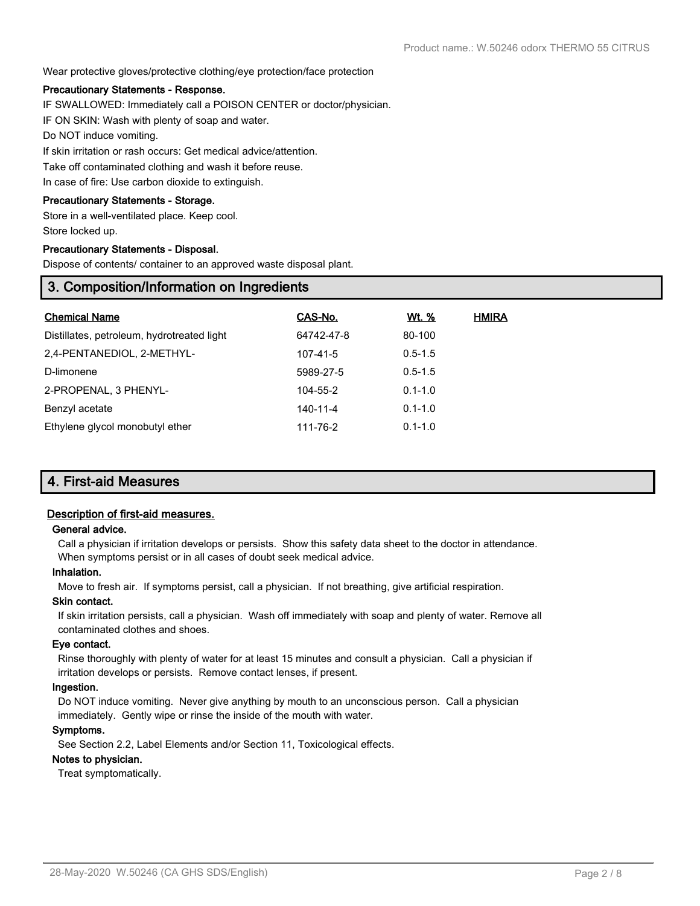#### Wear protective gloves/protective clothing/eye protection/face protection

#### **Precautionary Statements - Response.**

IF SWALLOWED: Immediately call a POISON CENTER or doctor/physician.

IF ON SKIN: Wash with plenty of soap and water.

Do NOT induce vomiting.

If skin irritation or rash occurs: Get medical advice/attention.

Take off contaminated clothing and wash it before reuse.

In case of fire: Use carbon dioxide to extinguish.

#### **Precautionary Statements - Storage.**

Store in a well-ventilated place. Keep cool. Store locked up.

#### **Precautionary Statements - Disposal.**

Dispose of contents/ container to an approved waste disposal plant.

## **3. Composition/Information on Ingredients**

| <b>Chemical Name</b>                       | CAS-No.    | Wt. %       | <b>HMIRA</b> |
|--------------------------------------------|------------|-------------|--------------|
| Distillates, petroleum, hydrotreated light | 64742-47-8 | 80-100      |              |
| 2.4-PENTANEDIOL, 2-METHYL-                 | 107-41-5   | $0.5 - 1.5$ |              |
| D-limonene                                 | 5989-27-5  | $0.5 - 1.5$ |              |
| 2-PROPENAL, 3 PHENYL-                      | 104-55-2   | $0.1 - 1.0$ |              |
| Benzyl acetate                             | 140-11-4   | $0.1 - 1.0$ |              |
| Ethylene glycol monobutyl ether            | 111-76-2   | $0.1 - 1.0$ |              |

## **4. First-aid Measures**

#### **Description of first-aid measures.**

#### **General advice.**

Call a physician if irritation develops or persists. Show this safety data sheet to the doctor in attendance. When symptoms persist or in all cases of doubt seek medical advice.

#### **Inhalation.**

Move to fresh air. If symptoms persist, call a physician. If not breathing, give artificial respiration.

#### **Skin contact.**

If skin irritation persists, call a physician. Wash off immediately with soap and plenty of water. Remove all contaminated clothes and shoes.

#### **Eye contact.**

Rinse thoroughly with plenty of water for at least 15 minutes and consult a physician. Call a physician if irritation develops or persists. Remove contact lenses, if present.

#### **Ingestion.**

Do NOT induce vomiting. Never give anything by mouth to an unconscious person. Call a physician immediately. Gently wipe or rinse the inside of the mouth with water.

#### **Symptoms.**

See Section 2.2, Label Elements and/or Section 11, Toxicological effects.

### **Notes to physician.**

Treat symptomatically.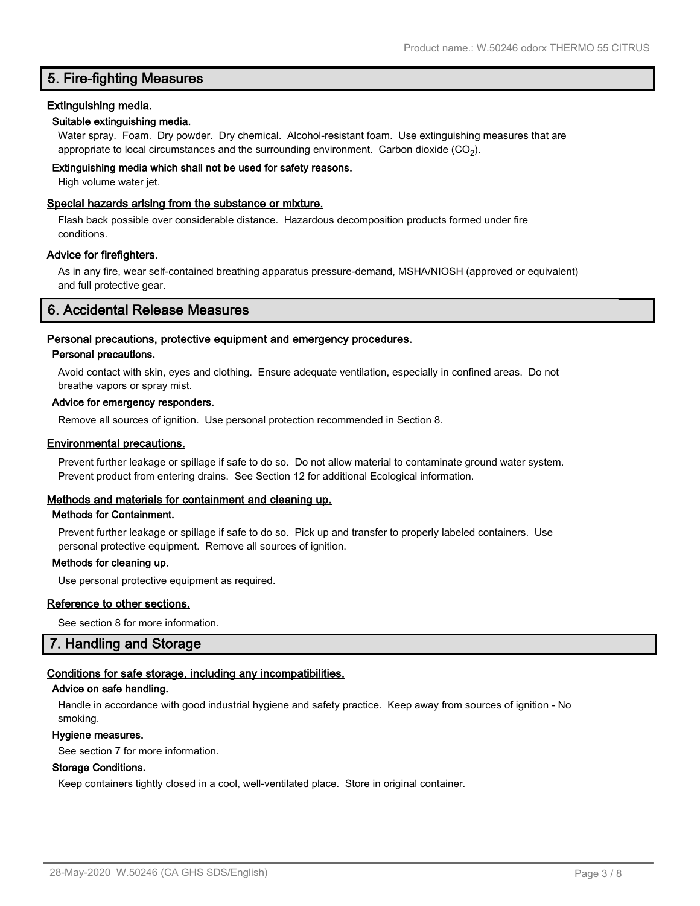# **5. Fire-fighting Measures**

#### **Extinguishing media.**

#### **Suitable extinguishing media.**

Water spray. Foam. Dry powder. Dry chemical. Alcohol-resistant foam. Use extinguishing measures that are appropriate to local circumstances and the surrounding environment.  $\rm \, Carbon$  dioxide  $\rm (CO_2).$ 

#### **Extinguishing media which shall not be used for safety reasons.**

High volume water jet.

#### **Special hazards arising from the substance or mixture.**

Flash back possible over considerable distance. Hazardous decomposition products formed under fire conditions.

#### **Advice for firefighters.**

As in any fire, wear self-contained breathing apparatus pressure-demand, MSHA/NIOSH (approved or equivalent) and full protective gear.

## **6. Accidental Release Measures**

#### **Personal precautions, protective equipment and emergency procedures.**

#### **Personal precautions.**

Avoid contact with skin, eyes and clothing. Ensure adequate ventilation, especially in confined areas. Do not breathe vapors or spray mist.

#### **Advice for emergency responders.**

Remove all sources of ignition. Use personal protection recommended in Section 8.

#### **Environmental precautions.**

Prevent further leakage or spillage if safe to do so. Do not allow material to contaminate ground water system. Prevent product from entering drains. See Section 12 for additional Ecological information.

#### **Methods and materials for containment and cleaning up.**

#### **Methods for Containment.**

Prevent further leakage or spillage if safe to do so. Pick up and transfer to properly labeled containers. Use personal protective equipment. Remove all sources of ignition.

#### **Methods for cleaning up.**

Use personal protective equipment as required.

#### **Reference to other sections.**

See section 8 for more information.

## **7. Handling and Storage**

#### **Conditions for safe storage, including any incompatibilities.**

#### **Advice on safe handling.**

Handle in accordance with good industrial hygiene and safety practice. Keep away from sources of ignition - No smoking.

#### **Hygiene measures.**

See section 7 for more information.

#### **Storage Conditions.**

Keep containers tightly closed in a cool, well-ventilated place. Store in original container.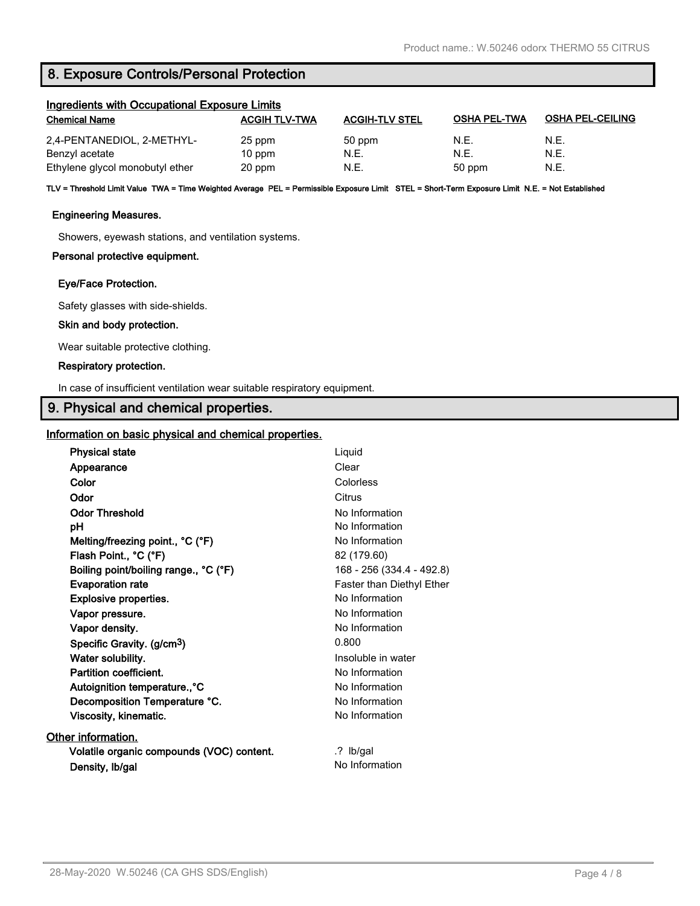# **8. Exposure Controls/Personal Protection**

| Ingredients with Occupational Exposure Limits |                      |                       |                     |                         |
|-----------------------------------------------|----------------------|-----------------------|---------------------|-------------------------|
| <b>Chemical Name</b>                          | <b>ACGIH TLV-TWA</b> | <b>ACGIH-TLV STEL</b> | <b>OSHA PEL-TWA</b> | <b>OSHA PEL-CEILING</b> |
| 2,4-PENTANEDIOL, 2-METHYL-                    | 25 ppm               | 50 ppm                | N.E.                | N.E.                    |
| Benzyl acetate                                | $10$ ppm             | N.E.                  | N.E.                | N.E.                    |
| Ethylene glycol monobutyl ether               | 20 ppm               | N.E.                  | 50 ppm              | N.E.                    |

**TLV = Threshold Limit Value TWA = Time Weighted Average PEL = Permissible Exposure Limit STEL = Short-Term Exposure Limit N.E. = Not Established**

#### **Engineering Measures.**

Showers, eyewash stations, and ventilation systems.

#### **Personal protective equipment.**

#### **Eye/Face Protection.**

Safety glasses with side-shields.

#### **Skin and body protection.**

Wear suitable protective clothing.

#### **Respiratory protection.**

In case of insufficient ventilation wear suitable respiratory equipment.

## **9. Physical and chemical properties.**

#### **Information on basic physical and chemical properties.**

| <b>Physical state</b>                     | Liquid                    |
|-------------------------------------------|---------------------------|
| Appearance                                | Clear                     |
| Color                                     | Colorless                 |
| Odor                                      | Citrus                    |
| <b>Odor Threshold</b>                     | No Information            |
| рH                                        | No Information            |
| Melting/freezing point., °C (°F)          | No Information            |
| Flash Point., °C (°F)                     | 82 (179.60)               |
| Boiling point/boiling range., °C (°F)     | 168 - 256 (334.4 - 492.8) |
| <b>Evaporation rate</b>                   | Faster than Diethyl Ether |
| <b>Explosive properties.</b>              | No Information            |
| Vapor pressure.                           | No Information            |
| Vapor density.                            | No Information            |
| Specific Gravity. (g/cm <sup>3</sup> )    | 0.800                     |
| Water solubility.                         | Insoluble in water        |
| Partition coefficient.                    | No Information            |
| Autoignition temperature., °C             | No Information            |
| Decomposition Temperature °C.             | No Information            |
| Viscosity, kinematic.                     | No Information            |
| Other information.                        |                           |
| Volatile organic compounds (VOC) content. | $\cdot$ ? Ib/gal          |
| Density, Ib/gal                           | No Information            |
|                                           |                           |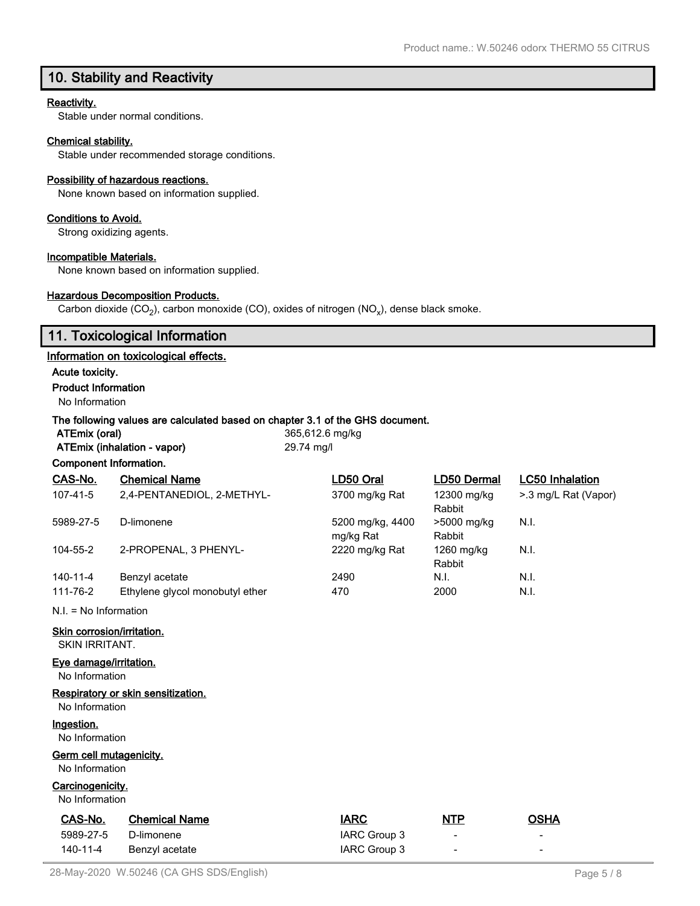# **10. Stability and Reactivity**

#### **Reactivity.**

Stable under normal conditions.

#### **Chemical stability.**

Stable under recommended storage conditions.

#### **Possibility of hazardous reactions.**

None known based on information supplied.

#### **Conditions to Avoid.**

Strong oxidizing agents.

#### **Incompatible Materials.**

None known based on information supplied.

#### **Hazardous Decomposition Products.**

Carbon dioxide (CO<sub>2</sub>), carbon monoxide (CO), oxides of nitrogen (NO<sub>x</sub>), dense black smoke.

# **11. Toxicological Information**

### **Information on toxicological effects.**

**Acute toxicity.**

#### **Product Information**

No Information

#### **The following values are calculated based on chapter 3.1 of the GHS document.**

| ATEmix (oral)               |  |
|-----------------------------|--|
| ATEmix (inhalation - vapor) |  |

**ATEmix (oral)** 365,612.6 mg/kg **ATEmix (inhalation - vapor)** 29.74 mg/l

| Component Information.                              |                                    |                               |                       |                        |
|-----------------------------------------------------|------------------------------------|-------------------------------|-----------------------|------------------------|
| CAS-No.                                             | <b>Chemical Name</b>               | LD50 Oral                     | LD50 Dermal           | <b>LC50 Inhalation</b> |
| 107-41-5                                            | 2,4-PENTANEDIOL, 2-METHYL-         | 3700 mg/kg Rat                | 12300 mg/kg<br>Rabbit | >.3 mg/L Rat (Vapor)   |
| 5989-27-5                                           | D-limonene                         | 5200 mg/kg, 4400<br>mg/kg Rat | >5000 mg/kg<br>Rabbit | N.I.                   |
| 104-55-2                                            | 2-PROPENAL, 3 PHENYL-              | 2220 mg/kg Rat                | 1260 mg/kg<br>Rabbit  | N.I.                   |
| 140-11-4                                            | Benzyl acetate                     | 2490                          | N.I.                  | N.I.                   |
| 111-76-2                                            | Ethylene glycol monobutyl ether    | 470                           | 2000                  | N.I.                   |
| $N.I. = No Information$                             |                                    |                               |                       |                        |
| Skin corrosion/irritation.<br><b>SKIN IRRITANT.</b> |                                    |                               |                       |                        |
| Eye damage/irritation.<br>No Information            |                                    |                               |                       |                        |
|                                                     | Respiratory or skin sensitization. |                               |                       |                        |

No Information

#### **Ingestion.**

No Information

#### **Germ cell mutagenicity.** No Information

# **Carcinogenicity.**

No Information

| CAS-No.   | <b>Chemical Name</b> | <b>IARC</b>  | <u>NTP</u>               | OSHA                     |
|-----------|----------------------|--------------|--------------------------|--------------------------|
| 5989-27-5 | D-limonene           | IARC Group 3 | $\overline{\phantom{0}}$ | -                        |
| 140-11-4  | Benzyl acetate       | IARC Group 3 | $\overline{\phantom{a}}$ | $\overline{\phantom{a}}$ |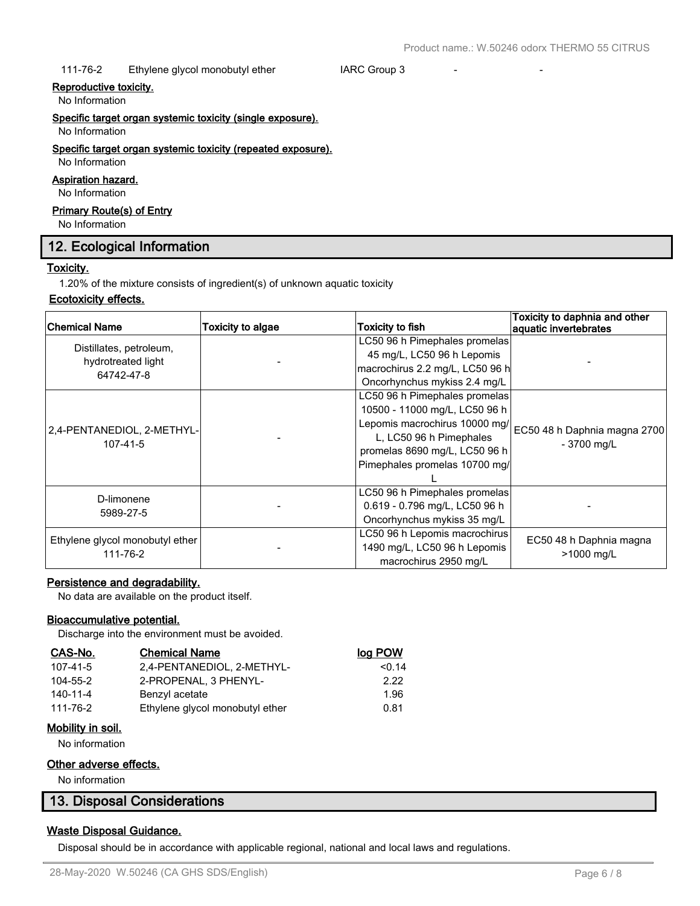#### 111-76-2 Ethylene glycol monobutyl ether **IARC Group 3**

#### **Reproductive toxicity.**

No Information

**Specific target organ systemic toxicity (single exposure).**

No Information

## **Specific target organ systemic toxicity (repeated exposure).**

# No Information

**Aspiration hazard.** No Information

# **Primary Route(s) of Entry**

No Information

## **12. Ecological Information**

#### **Toxicity.**

1.20% of the mixture consists of ingredient(s) of unknown aquatic toxicity

#### **Ecotoxicity effects.**

| <b>Chemical Name</b>                        | Toxicity to algae | <b>Toxicity to fish</b>         | Toxicity to daphnia and other<br>aquatic invertebrates |
|---------------------------------------------|-------------------|---------------------------------|--------------------------------------------------------|
| Distillates, petroleum,                     |                   | LC50 96 h Pimephales promelas   |                                                        |
| hydrotreated light                          |                   | 45 mg/L, LC50 96 h Lepomis      |                                                        |
| 64742-47-8                                  |                   | macrochirus 2.2 mg/L, LC50 96 h |                                                        |
|                                             |                   | Oncorhynchus mykiss 2.4 mg/L    |                                                        |
|                                             |                   | LC50 96 h Pimephales promelas   |                                                        |
|                                             |                   | 10500 - 11000 mg/L, LC50 96 h   |                                                        |
| 2,4-PENTANEDIOL, 2-METHYL-                  |                   | Lepomis macrochirus 10000 mg/   | EC50 48 h Daphnia magna 2700                           |
| 107-41-5                                    |                   | L, LC50 96 h Pimephales         | - 3700 mg/L                                            |
|                                             |                   | promelas 8690 mg/L, LC50 96 h   |                                                        |
|                                             |                   | Pimephales promelas 10700 mg/   |                                                        |
|                                             |                   |                                 |                                                        |
| D-limonene                                  |                   | LC50 96 h Pimephales promelas   |                                                        |
| 5989-27-5                                   |                   | 0.619 - 0.796 mg/L, LC50 96 h   |                                                        |
|                                             |                   | Oncorhynchus mykiss 35 mg/L     |                                                        |
| Ethylene glycol monobutyl ether<br>111-76-2 |                   | LC50 96 h Lepomis macrochirus   |                                                        |
|                                             |                   | 1490 mg/L, LC50 96 h Lepomis    | EC50 48 h Daphnia magna                                |
|                                             |                   | macrochirus 2950 mg/L           | >1000 mg/L                                             |

#### **Persistence and degradability.**

No data are available on the product itself.

#### **Bioaccumulative potential.**

Discharge into the environment must be avoided.

| CAS-No.  | <b>Chemical Name</b>            | log POW |
|----------|---------------------------------|---------|
| 107-41-5 | 2.4-PENTANEDIOL, 2-METHYL-      | < 0.14  |
| 104-55-2 | 2-PROPENAL, 3 PHENYL-           | 2.22    |
| 140-11-4 | Benzyl acetate                  | 1.96    |
| 111-76-2 | Ethylene glycol monobutyl ether | 0.81    |

#### **Mobility in soil.**

No information

#### **Other adverse effects.**

No information

## **13. Disposal Considerations**

## **Waste Disposal Guidance.**

Disposal should be in accordance with applicable regional, national and local laws and regulations.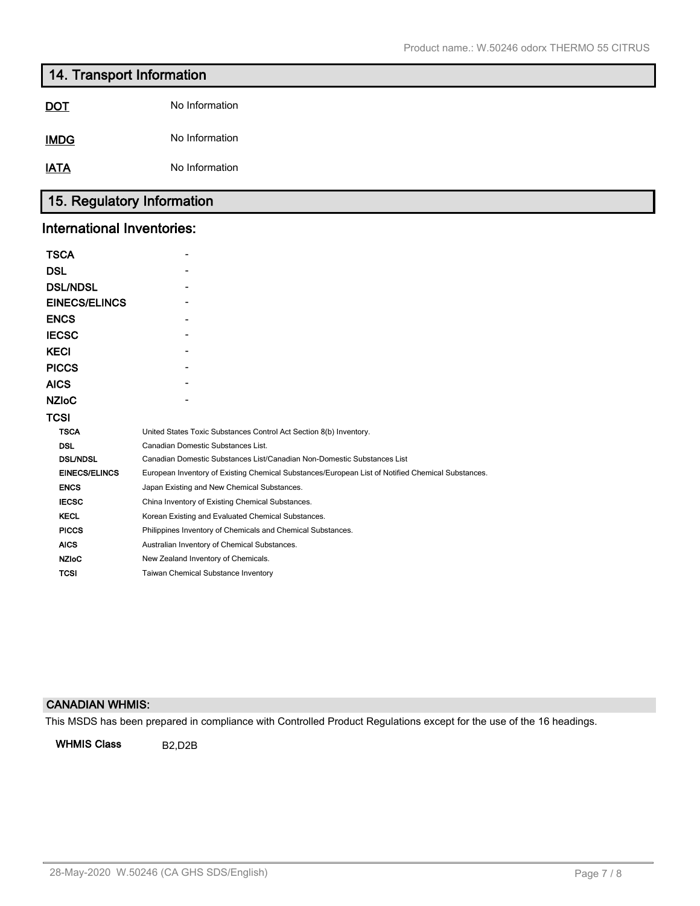# **14. Transport Information**

| <b>IMDG</b> | No Information |
|-------------|----------------|
|             |                |

**IATA** No Information

# **15. Regulatory Information**

# **International Inventories:**

| <b>TSCA</b>          |                                                                                                   |
|----------------------|---------------------------------------------------------------------------------------------------|
| <b>DSL</b>           |                                                                                                   |
| <b>DSL/NDSL</b>      |                                                                                                   |
| <b>EINECS/ELINCS</b> |                                                                                                   |
| <b>ENCS</b>          |                                                                                                   |
| <b>IECSC</b>         |                                                                                                   |
| <b>KECI</b>          |                                                                                                   |
| <b>PICCS</b>         |                                                                                                   |
| <b>AICS</b>          |                                                                                                   |
| <b>NZIoC</b>         |                                                                                                   |
| TCSI                 |                                                                                                   |
| <b>TSCA</b>          | United States Toxic Substances Control Act Section 8(b) Inventory.                                |
| <b>DSL</b>           | Canadian Domestic Substances List.                                                                |
| <b>DSL/NDSL</b>      | Canadian Domestic Substances List/Canadian Non-Domestic Substances List                           |
| <b>EINECS/ELINCS</b> | European Inventory of Existing Chemical Substances/European List of Notified Chemical Substances. |
| <b>ENCS</b>          | Japan Existing and New Chemical Substances.                                                       |
| <b>IECSC</b>         | China Inventory of Existing Chemical Substances.                                                  |
| <b>KECL</b>          | Korean Existing and Evaluated Chemical Substances.                                                |
| <b>PICCS</b>         | Philippines Inventory of Chemicals and Chemical Substances.                                       |
| <b>AICS</b>          | Australian Inventory of Chemical Substances.                                                      |
| <b>NZIoC</b>         | New Zealand Inventory of Chemicals.                                                               |
| <b>TCSI</b>          | Taiwan Chemical Substance Inventory                                                               |

## **CANADIAN WHMIS:**

This MSDS has been prepared in compliance with Controlled Product Regulations except for the use of the 16 headings.

**WHMIS Class** B2,D2B